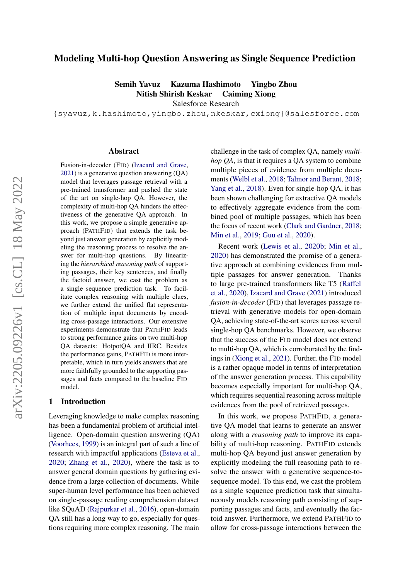# Modeling Multi-hop Question Answering as Single Sequence Prediction

Semih Yavuz Kazuma Hashimoto Yingbo Zhou Nitish Shirish Keskar Caiming Xiong

Salesforce Research

{syavuz,k.hashimoto,yingbo.zhou,nkeskar,cxiong}@salesforce.com

#### Abstract

Fusion-in-decoder (FID) [\(Izacard and Grave,](#page-9-0) [2021\)](#page-9-0) is a generative question answering (QA) model that leverages passage retrieval with a pre-trained transformer and pushed the state of the art on single-hop QA. However, the complexity of multi-hop QA hinders the effectiveness of the generative QA approach. In this work, we propose a simple generative approach (PATHFID) that extends the task beyond just answer generation by explicitly modeling the reasoning process to resolve the answer for multi-hop questions. By linearizing the *hierarchical reasoning path* of supporting passages, their key sentences, and finally the factoid answer, we cast the problem as a single sequence prediction task. To facilitate complex reasoning with multiple clues, we further extend the unified flat representation of multiple input documents by encoding cross-passage interactions. Our extensive experiments demonstrate that PATHFID leads to strong performance gains on two multi-hop QA datasets: HotpotQA and IIRC. Besides the performance gains, PATHFID is more interpretable, which in turn yields answers that are more faithfully grounded to the supporting passages and facts compared to the baseline FID model.

### 1 Introduction

Leveraging knowledge to make complex reasoning has been a fundamental problem of artificial intelligence. Open-domain question answering (QA) [\(Voorhees,](#page-11-0) [1999\)](#page-11-0) is an integral part of such a line of research with impactful applications [\(Esteva et al.,](#page-9-1) [2020;](#page-9-1) [Zhang et al.,](#page-11-1) [2020\)](#page-11-1), where the task is to answer general domain questions by gathering evidence from a large collection of documents. While super-human level performance has been achieved on single-passage reading comprehension dataset like SQuAD [\(Rajpurkar et al.,](#page-10-0) [2016\)](#page-10-0), open-domain QA still has a long way to go, especially for questions requiring more complex reasoning. The main

challenge in the task of complex QA, namely *multihop QA*, is that it requires a QA system to combine multiple pieces of evidence from multiple documents [\(Welbl et al.,](#page-11-2) [2018;](#page-11-2) [Talmor and Berant,](#page-10-1) [2018;](#page-10-1) [Yang et al.,](#page-11-3) [2018\)](#page-11-3). Even for single-hop QA, it has been shown challenging for extractive QA models to effectively aggregate evidence from the combined pool of multiple passages, which has been the focus of recent work [\(Clark and Gardner,](#page-9-2) [2018;](#page-9-2) [Min et al.,](#page-10-2) [2019;](#page-10-2) [Guu et al.,](#page-9-3) [2020\)](#page-9-3).

Recent work [\(Lewis et al.,](#page-10-3) [2020b;](#page-10-3) [Min et al.,](#page-10-4) [2020\)](#page-10-4) has demonstrated the promise of a generative approach at combining evidences from multiple passages for answer generation. Thanks to large pre-trained transformers like T5 [\(Raffel](#page-10-5) [et al.,](#page-10-5) [2020\)](#page-10-5), [Izacard and Grave](#page-9-0) [\(2021\)](#page-9-0) introduced *fusion-in-decoder* (FID) that leverages passage retrieval with generative models for open-domain QA, achieving state-of-the-art scores across several single-hop QA benchmarks. However, we observe that the success of the FID model does not extend to multi-hop QA, which is corroborated by the findings in [\(Xiong et al.,](#page-11-4) [2021\)](#page-11-4). Further, the FID model is a rather opaque model in terms of interpretation of the answer generation process. This capability becomes especially important for multi-hop QA, which requires sequential reasoning across multiple evidences from the pool of retrieved passages.

In this work, we propose PATHFID, a generative QA model that learns to generate an answer along with a *reasoning path* to improve its capability of multi-hop reasoning. PATHFID extends multi-hop QA beyond just answer generation by explicitly modeling the full reasoning path to resolve the answer with a generative sequence-tosequence model. To this end, we cast the problem as a single sequence prediction task that simultaneously models reasoning path consisting of supporting passages and facts, and eventually the factoid answer. Furthermore, we extend PATHFID to allow for cross-passage interactions between the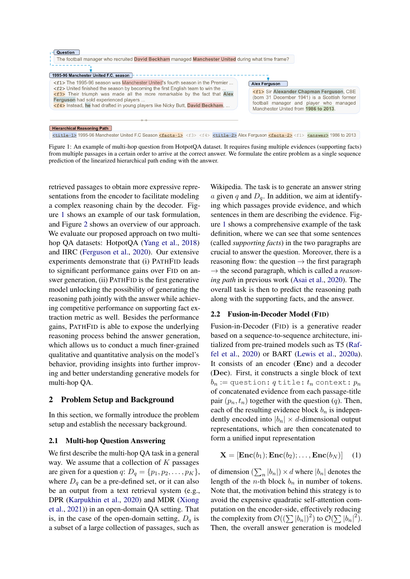<span id="page-1-0"></span>

Figure 1: An example of multi-hop question from HotpotQA dataset. It requires fusing multiple evidences (supporting facts) from multiple passages in a certain order to arrive at the correct answer. We formulate the entire problem as a single sequence prediction of the linearized hierarchical path ending with the answer.

retrieved passages to obtain more expressive representations from the encoder to facilitate modeling a complex reasoning chain by the decoder. Figure [1](#page-1-0) shows an example of our task formulation, and Figure [2](#page-3-0) shows an overview of our approach. We evaluate our proposed approach on two multihop QA datasets: HotpotQA [\(Yang et al.,](#page-11-3) [2018\)](#page-11-3) and IIRC [\(Ferguson et al.,](#page-9-4) [2020\)](#page-9-4). Our extensive experiments demonstrate that (i) PATHFID leads to significant performance gains over FID on answer generation, (ii) PATHFID is the first generative model unlocking the possibility of generating the reasoning path jointly with the answer while achieving competitive performance on supporting fact extraction metric as well. Besides the performance gains, PATHFID is able to expose the underlying reasoning process behind the answer generation, which allows us to conduct a much finer-grained qualitative and quantitative analysis on the model's behavior, providing insights into further improving and better understanding generative models for multi-hop QA.

## 2 Problem Setup and Background

In this section, we formally introduce the problem setup and establish the necessary background.

## 2.1 Multi-hop Question Answering

We first describe the multi-hop QA task in a general way. We assume that a collection of  $K$  passages are given for a question q:  $D_q = \{p_1, p_2, \ldots, p_K\},\$ where  $D<sub>q</sub>$  can be a pre-defined set, or it can also be an output from a text retrieval system (e.g., DPR [\(Karpukhin et al.,](#page-9-5) [2020\)](#page-9-5) and MDR [\(Xiong](#page-11-4) [et al.,](#page-11-4) [2021\)](#page-11-4)) in an open-domain QA setting. That is, in the case of the open-domain setting,  $D_q$  is a subset of a large collection of passages, such as Wikipedia. The task is to generate an answer string a given q and  $D_q$ . In addition, we aim at identifying which passages provide evidence, and which sentences in them are describing the evidence. Figure [1](#page-1-0) shows a comprehensive example of the task definition, where we can see that some sentences (called *supporting facts*) in the two paragraphs are crucial to answer the question. Moreover, there is a reasoning flow: the question  $\rightarrow$  the first paragraph  $\rightarrow$  the second paragraph, which is called a *reasoning path* in previous work [\(Asai et al.,](#page-9-6) [2020\)](#page-9-6). The overall task is then to predict the reasoning path along with the supporting facts, and the answer.

## <span id="page-1-1"></span>2.2 Fusion-in-Decoder Model (FID)

Fusion-in-Decoder (FID) is a generative reader based on a sequence-to-sequence architecture, initialized from pre-trained models such as T5 [\(Raf](#page-10-5)[fel et al.,](#page-10-5) [2020\)](#page-10-5) or BART [\(Lewis et al.,](#page-9-7) [2020a\)](#page-9-7). It consists of an encoder (Enc) and a decoder (Dec). First, it constructs a single block of text  $b_n := \text{question: } q \text{ title: } t_n \text{ context: } p_n$ of concatenated evidence from each passage-title pair  $(p_n, t_n)$  together with the question (q). Then, each of the resulting evidence block  $b_n$  is independently encoded into  $|b_n| \times d$ -dimensional output representations, which are then concatenated to form a unified input representation

<span id="page-1-2"></span>
$$
\mathbf{X} = [\mathbf{Enc}(b_1); \mathbf{Enc}(b_2); \dots, \mathbf{Enc}(b_N)] \quad (1)
$$

of dimension  $(\sum_n |b_n|) \times d$  where  $|b_n|$  denotes the length of the *n*-th block  $b_n$  in number of tokens. Note that, the motivation behind this strategy is to avoid the expensive quadratic self-attention computation on the encoder-side, effectively reducing the complexity from  $\mathcal{O}((\sum |b_n|)^2)$  to  $\mathcal{O}(\sum |b_n|^2)$ . Then, the overall answer generation is modeled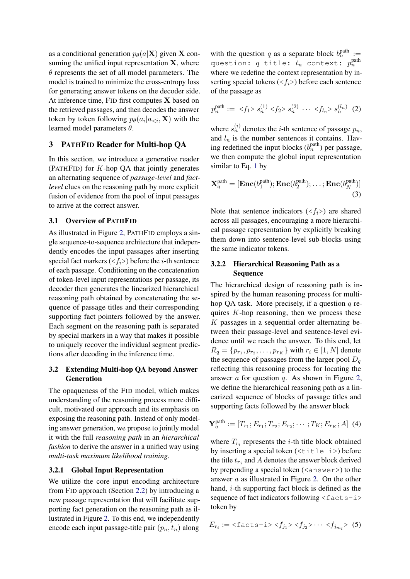as a conditional generation  $p_{\theta}(a|\mathbf{X})$  given **X** consuming the unified input representation  $X$ , where  $\theta$  represents the set of all model parameters. The model is trained to minimize the cross-entropy loss for generating answer tokens on the decoder side. At inference time, FID first computes X based on the retrieved passages, and then decodes the answer token by token following  $p_{\theta}(a_i|a_{\leq i}, \mathbf{X})$  with the learned model parameters  $\theta$ .

## <span id="page-2-3"></span>3 PATHFID Reader for Multi-hop QA

In this section, we introduce a generative reader (PATHFID) for  $K$ -hop QA that jointly generates an alternating sequence of *passage-level* and *factlevel* clues on the reasoning path by more explicit fusion of evidence from the pool of input passages to arrive at the correct answer.

## 3.1 Overview of PATHFID

As illustrated in Figure [2,](#page-3-0) PATHFID employs a single sequence-to-sequence architecture that independently encodes the input passages after inserting special fact markers  $\left\langle \langle f_i \rangle \right\rangle$  before the *i*-th sentence of each passage. Conditioning on the concatenation of token-level input representations per passage, its decoder then generates the linearized hierarchical reasoning path obtained by concatenating the sequence of passage titles and their corresponding supporting fact pointers followed by the answer. Each segment on the reasoning path is separated by special markers in a way that makes it possible to uniquely recover the individual segment predictions after decoding in the inference time.

## 3.2 Extending Multi-hop QA beyond Answer Generation

The opaqueness of the FID model, which makes understanding of the reasoning process more difficult, motivated our approach and its emphasis on exposing the reasoning path. Instead of only modeling answer generation, we propose to jointly model it with the full *reasoning path* in an *hierarchical fashion* to derive the answer in a unified way using *multi-task maximum likelihood training*.

#### 3.2.1 Global Input Representation

We utilize the core input encoding architecture from FID approach (Section [2.2\)](#page-1-1) by introducing a new passage representation that will facilitate supporting fact generation on the reasoning path as illustrated in Figure [2.](#page-3-0) To this end, we independently encode each input passage-title pair  $(p_n, t_n)$  along

with the question q as a separate block  $b_n^{\text{path}} :=$ question:  $q$  title:  $t_n$  context:  $p_n^{\text{path}}$ where we redefine the context representation by inserting special tokens  $\left\langle \langle f_i \rangle \right\rangle$  before each sentence of the passage as

<span id="page-2-0"></span>
$$
p_n^{\text{path}} := \langle f_1 \rangle s_n^{(1)} \langle f_2 \rangle s_n^{(2)} \cdots \langle f_{l_n} \rangle s_n^{(l_n)} \tag{2}
$$

where  $s_n^{(i)}$  denotes the *i*-th sentence of passage  $p_n$ , and  $l_n$  is the number sentences it contains. Having redefined the input blocks  $(b_n^{\text{path}})$  per passage, we then compute the global input representation similar to Eq. [1](#page-1-2) by

<span id="page-2-2"></span>
$$
\mathbf{X}_q^{\text{path}} = [\mathbf{Enc}(b_1^{\text{path}}); \mathbf{Enc}(b_2^{\text{path}}); \dots; \mathbf{Enc}(b_N^{\text{path}})]
$$
\n(3)

Note that sentence indicators  $(\langle f_i \rangle)$  are shared across all passages, encouraging a more hierarchical passage representation by explicitly breaking them down into sentence-level sub-blocks using the same indicator tokens.

## 3.2.2 Hierarchical Reasoning Path as a Sequence

The hierarchical design of reasoning path is inspired by the human reasoning process for multihop QA task. More precisely, if a question  $q$  requires  $K$ -hop reasoning, then we process these  $K$  passages in a sequential order alternating between their passage-level and sentence-level evidence until we reach the answer. To this end, let  $R_q = \{p_{r_1}, p_{r_2}, \dots, p_{r_K}\}\$  with  $r_i \in [1, N]$  denote the sequence of passages from the larger pool  $D_q$ reflecting this reasoning process for locating the answer a for question q. As shown in Figure [2,](#page-3-0) we define the hierarchical reasoning path as a linearized sequence of blocks of passage titles and supporting facts followed by the answer block

$$
\mathbf{Y}_q^{\text{path}} := [T_{r_1}; E_{r_1}; T_{r_2}; E_{r_2}; \cdots; T_K; E_{r_K}; A] \tag{4}
$$

where  $T_{r_i}$  represents the *i*-th title block obtained by inserting a special token  $(\text{title}-i)$  before the title  $t_{r_j}$  and A denotes the answer block derived by prepending a special token  $(\langle \text{answer}\rangle)$  to the answer a as illustrated in Figure [2.](#page-3-0) On the other hand, i-th supporting fact block is defined as the sequence of fact indicators following  $\text{ifacts-}$ token by

<span id="page-2-1"></span>
$$
E_{r_i} := \langle \text{facts-i} \rangle \langle f_{j_1} \rangle \langle f_{j_2} \rangle \cdots \langle f_{j_{m_i}} \rangle \tag{5}
$$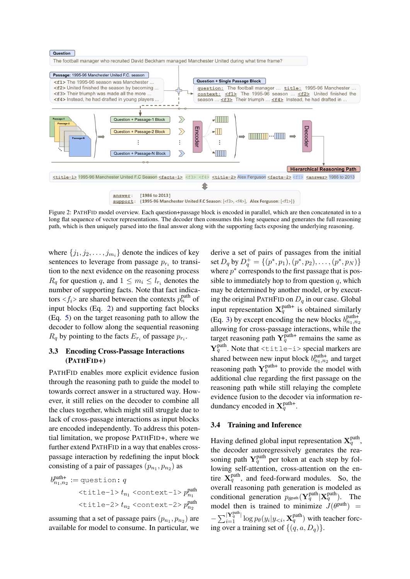<span id="page-3-0"></span>

Figure 2: PATHFID model overview. Each question+passage block is encoded in parallel, which are then concatenated in to a long flat sequence of vector representations. The decoder then consumes this long sequence and generates the full reasoning path, which is then uniquely parsed into the final answer along with the supporting facts exposing the underlying reasoning.

where  $\{j_1, j_2, \ldots, j_{m_i}\}\)$  denote the indices of key sentences to leverage from passage  $p_{r_i}$  to transition to the next evidence on the reasoning process  $R_q$  for question q, and  $1 \leq m_i \leq l_{r_i}$  denotes the number of supporting facts. Note that fact indicators  $\langle f_i \rangle$  are shared between the contexts  $p_n^{\text{path}}$  of input blocks (Eq. [2\)](#page-2-0) and supporting fact blocks (Eq. [5\)](#page-2-1) on the target reasoning path to allow the decoder to follow along the sequential reasoning  $R_q$  by pointing to the facts  $E_{r_i}$  of passage  $p_{r_i}$ .

### <span id="page-3-1"></span>3.3 Encoding Cross-Passage Interactions (PATHFID+)

PATHFID enables more explicit evidence fusion through the reasoning path to guide the model to towards correct answer in a structured way. However, it still relies on the decoder to combine all the clues together, which might still struggle due to lack of cross-passage interactions as input blocks are encoded independently. To address this potential limitation, we propose PATHFID+, where we further extend PATHFID in a way that enables crosspassage interaction by redefining the input block consisting of a pair of passages  $(p_{n_1}, p_{n_2})$  as

$$
b_{n_1,n_2}^{\text{path+}} := \text{question: } q
$$
\n
$$
\langle \text{title-1} \rangle t_{n_1} \langle \text{context-1} \rangle p_{n_1}^{\text{path}}
$$
\n
$$
\langle \text{title-2} \rangle t_{n_2} \langle \text{context-2} \rangle p_{n_2}^{\text{path}}
$$

assuming that a set of passage pairs  $(p_{n_1}, p_{n_2})$  are available for model to consume. In particular, we derive a set of pairs of passages from the initial set  $D_q$  by  $D_q^+ = \{(p^*, p_1), (p^*, p_2), \dots, (p^*, p_N)\}\$ where  $p^*$  corresponds to the first passage that is possible to immediately hop to from question  $q$ , which may be determined by another model, or by executing the original PATHFID on  $D_q$  in our case. Global input representation  $X_q^{\text{path+}}$  is obtained similarly (Eq. [3\)](#page-2-2) by except encoding the new blocks  $b_{n_1,n_2}^{\text{path+}}$ allowing for cross-passage interactions, while the target reasoning path  $Y_q^{\text{path}+}$  remains the same as  $Y_q^{\text{path}}$ . Note that  $\text{title}-i$  > special markers are shared between new input block  $b_{n_1,n_2}^{\text{path+}}$  and target reasoning path  $Y_q^{\text{path+}}$  to provide the model with additional clue regarding the first passage on the reasoning path while still relaying the complete evidence fusion to the decoder via information redundancy encoded in  $X_q^{\text{path+}}$ .

### 3.4 Training and Inference

Having defined global input representation  $X_q^{\text{path}}$ , the decoder autoregressively generates the reasoning path  $Y_q^{\text{path}}$  per token at each step by following self-attention, cross-attention on the entire  $X_q^{\text{path}}$ , and feed-forward modules. So, the overall reasoning path generation is modeled as conditional generation  $p_{\theta}$ <sub>path</sub> ( $\mathbf{Y}_q^{\text{path}}$ )**X**<sub>q</sub><sup>path</sup>). The model then is trained to minimize  $J(\theta^{\text{path}})$  =  $-\sum_{i=1}^{\lvert \mathbf{Y}_q^{\text{path}} \rvert} \log p_{\theta}(y_i|y_{< i}, \mathbf{X}_q^{\text{path}})$  with teacher forcing over a training set of  $\{(q, a, D_q)\}.$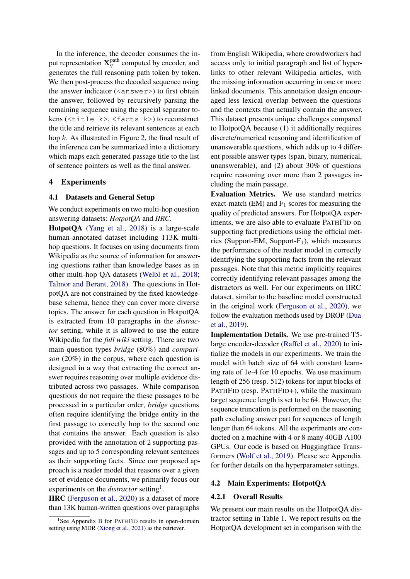In the inference, the decoder consumes the input representation  $\mathbf{X}_q^{\text{path}}$  computed by encoder, and generates the full reasoning path token by token. We then post-process the decoded sequence using the answer indicator  $(\langle \text{answer} \rangle)$  to first obtain the answer, followed by recursively parsing the remaining sequence using the special separator tokens (<title-k>, <facts-k>) to reconstruct the title and retrieve its relevant sentences at each hop k. As illustrated in Figure [2,](#page-3-0) the final result of the inference can be summarized into a dictionary which maps each generated passage title to the list of sentence pointers as well as the final answer.

#### 4 Experiments

#### 4.1 Datasets and General Setup

We conduct experiments on two multi-hop question answering datasets: *HotpotQA* and *IIRC*.

HotpotQA [\(Yang et al.,](#page-11-3) [2018\)](#page-11-3) is a large-scale human-annotated dataset including 113K multihop questions. It focuses on using documents from Wikipedia as the source of information for answering questions rather than knowledge bases as in other multi-hop QA datasets [\(Welbl et al.,](#page-11-2) [2018;](#page-11-2) [Talmor and Berant,](#page-10-1) [2018\)](#page-10-1). The questions in HotpotQA are not constrained by the fixed knowledgebase schema, hence they can cover more diverse topics. The answer for each question in HotpotQA is extracted from 10 paragraphs in the *distractor* setting, while it is allowed to use the entire Wikipedia for the *full wiki* setting. There are two main question types *bridge* (80%) and *comparison* (20%) in the corpus, where each question is designed in a way that extracting the correct answer requires reasoning over multiple evidence distributed across two passages. While comparison questions do not require the these passages to be processed in a particular order, *bridge* questions often require identifying the bridge entity in the first passage to correctly hop to the second one that contains the answer. Each question is also provided with the annotation of 2 supporting passages and up to 5 corresponding relevant sentences as their supporting facts. Since our proposed approach is a reader model that reasons over a given set of evidence documents, we primarily focus our experiments on the *distractor* setting<sup>[1](#page-4-0)</sup>.

IIRC [\(Ferguson et al.,](#page-9-4) [2020\)](#page-9-4) is a dataset of more than 13K human-written questions over paragraphs

from English Wikipedia, where crowdworkers had access only to initial paragraph and list of hyperlinks to other relevant Wikipedia articles, with the missing information occurring in one or more linked documents. This annotation design encouraged less lexical overlap between the questions and the contexts that actually contain the answer. This dataset presents unique challenges compared to HotpotQA because (1) it additionally requires discrete/numerical reasoning and identification of unanswerable questions, which adds up to 4 different possible answer types (span, binary, numerical, unanswerable), and (2) about 30% of questions require reasoning over more than 2 passages including the main passage.

Evaluation Metrics. We use standard metrics exact-match (EM) and  $F_1$  scores for measuring the quality of predicted answers. For HotpotQA experiments, we are also able to evaluate PATHFID on supporting fact predictions using the official metrics (Support-EM, Support-F<sub>1</sub>), which measures the performance of the reader model in correctly identifying the supporting facts from the relevant passages. Note that this metric implicitly requires correctly identifying relevant passages among the distractors as well. For our experiments on IIRC dataset, similar to the baseline model constructed in the original work [\(Ferguson et al.,](#page-9-4) [2020\)](#page-9-4), we follow the evaluation methods used by DROP [\(Dua](#page-9-8) [et al.,](#page-9-8) [2019\)](#page-9-8).

Implementation Details. We use pre-trained T5 large encoder-decoder [\(Raffel et al.,](#page-10-5) [2020\)](#page-10-5) to initialize the models in our experiments. We train the model with batch size of 64 with constant learning rate of 1e-4 for 10 epochs. We use maximum length of 256 (resp. 512) tokens for input blocks of PATHFID (resp. PATHFID+), while the maximum target sequence length is set to be 64. However, the sequence truncation is performed on the reasoning path excluding answer part for sequences of length longer than 64 tokens. All the experiments are conducted on a machine with 4 or 8 many 40GB A100 GPUs. Our code is based on Huggingface Transformers [\(Wolf et al.,](#page-11-5) [2019\)](#page-11-5). Please see Appendix for further details on the hyperparameter settings.

#### 4.2 Main Experiments: HotpotQA

#### 4.2.1 Overall Results

We present our main results on the HotpotOA distractor setting in Table [1.](#page-5-0) We report results on the HotpotQA development set in comparison with the

<span id="page-4-0"></span><sup>&</sup>lt;sup>1</sup>See Appendix [B](#page-12-0) for PATHFID results in open-domain setting using MDR [\(Xiong et al.,](#page-11-4) [2021\)](#page-11-4) as the retriever.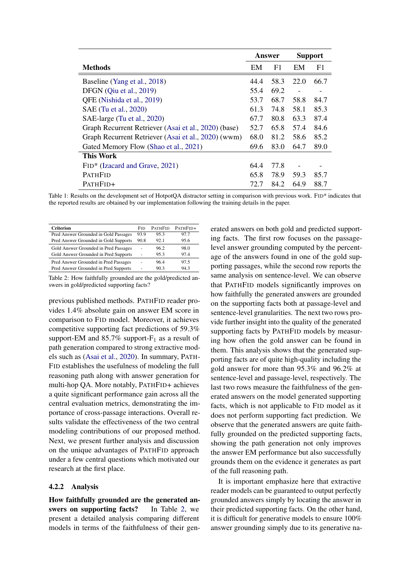<span id="page-5-0"></span>

|                                                      | Answer<br><b>Support</b> |      |                          |                          |
|------------------------------------------------------|--------------------------|------|--------------------------|--------------------------|
| <b>Methods</b>                                       | EM                       | F1   | EM                       | F1                       |
| Baseline (Yang et al., 2018)                         | 44.4                     | 58.3 | 22.0                     | 66.7                     |
| DFGN (Qiu et al., 2019)                              | 55.4                     | 69.2 |                          | $\overline{\phantom{a}}$ |
| QFE (Nishida et al., 2019)                           | 53.7                     | 68.7 | 58.8                     | 84.7                     |
| SAE (Tu et al., 2020)                                |                          | 74.8 | 58.1                     | 85.3                     |
| SAE-large (Tu et al., 2020)                          |                          | 80.8 | 63.3                     | 87.4                     |
| Graph Recurrent Retriever (Asai et al., 2020) (base) |                          | 65.8 | 57.4                     | 84.6                     |
| Graph Recurrent Retriever (Asai et al., 2020) (wwm)  |                          | 81.2 | 58.6                     | 85.2                     |
| Gated Memory Flow (Shao et al., 2021)                |                          | 83.0 | 64.7                     | 89.0                     |
| This Work                                            |                          |      |                          |                          |
| FID* (Izacard and Grave, 2021)                       |                          | 77.8 | $\overline{\phantom{a}}$ |                          |
| <b>PATHFID</b>                                       | 65.8                     | 78.9 | 59.3                     | 85.7                     |
| PATHFID+                                             | 72.7                     | 84.2 | 64.9                     | 88.7                     |

Table 1: Results on the development set of HotpotQA distractor setting in comparison with previous work. FID\* indicates that the reported results are obtained by our implementation following the training details in the paper.

<span id="page-5-1"></span>

| <b>Criterion</b>                      | Fid  | <b>PATHFID</b> | PATHFID+ |
|---------------------------------------|------|----------------|----------|
| Pred Answer Grounded in Gold Passages | 93.9 | 95.3           | 97.7     |
| Pred Answer Grounded in Gold Supports | 90.8 | 92.1           | 95.6     |
| Gold Answer Grounded in Pred Passages | ٠    | 96.2           | 98.0     |
| Gold Answer Grounded in Pred Supports | ۰    | 95.3           | 97.4     |
| Pred Answer Grounded in Pred Passages | ٠    | 96.4           | 97.5     |
| Pred Answer Grounded in Pred Supports | ۰    | 90.3           | 94.3     |
|                                       |      |                |          |

Table 2: How faithfully grounded are the gold/predicted answers in gold/predicted supporting facts?

previous published methods. PATHFID reader provides 1.4% absolute gain on answer EM score in comparison to FID model. Moreover, it achieves competitive supporting fact predictions of 59.3% support-EM and  $85.7\%$  support-F<sub>1</sub> as a result of path generation compared to strong extractive models such as [\(Asai et al.,](#page-9-6) [2020\)](#page-9-6). In summary, PATH-FID establishes the usefulness of modeling the full reasoning path along with answer generation for multi-hop QA. More notably, PATHFID+ achieves a quite significant performance gain across all the central evaluation metrics, demonstrating the importance of cross-passage interactions. Overall results validate the effectiveness of the two central modeling contributions of our proposed method. Next, we present further analysis and discussion on the unique advantages of PATHFID approach under a few central questions which motivated our research at the first place.

#### 4.2.2 Analysis

How faithfully grounded are the generated an-swers on supporting facts? In Table [2,](#page-5-1) we present a detailed analysis comparing different models in terms of the faithfulness of their generated answers on both gold and predicted supporting facts. The first row focuses on the passagelevel answer grounding computed by the percentage of the answers found in one of the gold supporting passages, while the second row reports the same analysis on sentence-level. We can observe that PATHFID models significantly improves on how faithfully the generated answers are grounded on the supporting facts both at passage-level and sentence-level granularities. The next two rows provide further insight into the quality of the generated supporting facts by PATHFID models by measuring how often the gold answer can be found in them. This analysis shows that the generated supporting facts are of quite high-quality including the gold answer for more than 95.3% and 96.2% at sentence-level and passage-level, respectively. The last two rows measure the faithfulness of the generated answers on the model generated supporting facts, which is not applicable to FID model as it does not perform supporting fact prediction. We observe that the generated answers are quite faithfully grounded on the predicted supporting facts, showing the path generation not only improves the answer EM performance but also successfully grounds them on the evidence it generates as part of the full reasoning path.

It is important emphasize here that extractive reader models can be guaranteed to output perfectly grounded answers simply by locating the answer in their predicted supporting facts. On the other hand, it is difficult for generative models to ensure 100% answer grounding simply due to its generative na-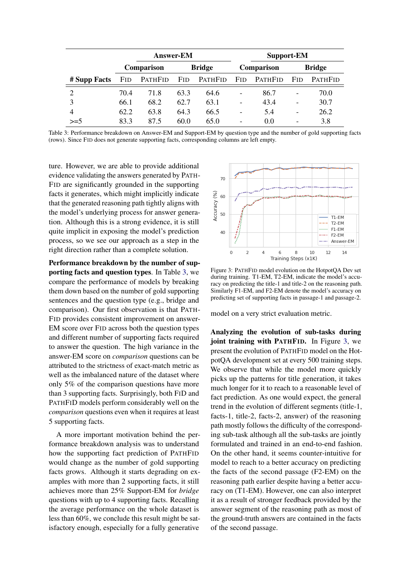<span id="page-6-0"></span>

|              | <b>Answer-EM</b> |                             |            |         | <b>Support-EM</b>        |                |                          |                |
|--------------|------------------|-----------------------------|------------|---------|--------------------------|----------------|--------------------------|----------------|
|              |                  | <b>Bridge</b><br>Comparison |            |         | Comparison               |                | <b>Bridge</b>            |                |
| # Supp Facts | <b>FID</b>       | PATHFID                     | <b>FID</b> | PATHFID | <b>FID</b>               | <b>PATHFID</b> | <b>FID</b>               | <b>PATHFID</b> |
|              | 70.4             | 71.8                        | 63.3       | 64.6    | -                        | 86.7           | $\overline{\phantom{a}}$ | 70.0           |
|              | 66.1             | 68.2                        | 62.7       | 63.1    | $\overline{\phantom{0}}$ | 43.4           | $\overline{\phantom{a}}$ | 30.7           |
| 4            | 62.2             | 63.8                        | 64.3       | 66.5    | -                        | 5.4            | $\overline{\phantom{0}}$ | 26.2           |
| $>= 5$       | 83.3             | 87.5                        | 60.0       | 65.0    | -                        | 0.0            | $\overline{\phantom{0}}$ | 3.8            |

Table 3: Performance breakdown on Answer-EM and Support-EM by question type and the number of gold supporting facts (rows). Since FID does not generate supporting facts, corresponding columns are left empty.

ture. However, we are able to provide additional evidence validating the answers generated by PATH-FID are significantly grounded in the supporting facts it generates, which might implicitly indicate that the generated reasoning path tightly aligns with the model's underlying process for answer generation. Although this is a strong evidence, it is still quite implicit in exposing the model's prediction process, so we see our approach as a step in the right direction rather than a complete solution.

Performance breakdown by the number of supporting facts and question types. In Table [3,](#page-6-0) we compare the performance of models by breaking them down based on the number of gold supporting sentences and the question type (e.g., bridge and comparison). Our first observation is that PATH-FID provides consistent improvement on answer-EM score over FID across both the question types and different number of supporting facts required to answer the question. The high variance in the answer-EM score on *comparison* questions can be attributed to the strictness of exact-match metric as well as the imbalanced nature of the dataset where only 5% of the comparison questions have more than 3 supporting facts. Surprisingly, both FID and PATHFID models perform considerably well on the *comparison* questions even when it requires at least 5 supporting facts.

A more important motivation behind the performance breakdown analysis was to understand how the supporting fact prediction of PATHFID would change as the number of gold supporting facts grows. Although it starts degrading on examples with more than 2 supporting facts, it still achieves more than 25% Support-EM for *bridge* questions with up to 4 supporting facts. Recalling the average performance on the whole dataset is less than 60%, we conclude this result might be satisfactory enough, especially for a fully generative

<span id="page-6-1"></span>

Figure 3: PATHFID model evolution on the HotpotQA Dev set during training. T1-EM, T2-EM, indicate the model's accuracy on predicting the title-1 and title-2 on the reasoning path. Similarly F1-EM, and F2-EM denote the model's accuracy on predicting set of supporting facts in passage-1 and passage-2.

model on a very strict evaluation metric.

Analyzing the evolution of sub-tasks during joint training with PATHFID. In Figure [3,](#page-6-1) we present the evolution of PATHFID model on the HotpotQA development set at every 500 training steps. We observe that while the model more quickly picks up the patterns for title generation, it takes much longer for it to reach to a reasonable level of fact prediction. As one would expect, the general trend in the evolution of different segments (title-1, facts-1, title-2, facts-2, answer) of the reasoning path mostly follows the difficulty of the corresponding sub-task although all the sub-tasks are jointly formulated and trained in an end-to-end fashion. On the other hand, it seems counter-intuitive for model to reach to a better accuracy on predicting the facts of the second passage (F2-EM) on the reasoning path earlier despite having a better accuracy on (T1-EM). However, one can also interpret it as a result of stronger feedback provided by the answer segment of the reasoning path as most of the ground-truth answers are contained in the facts of the second passage.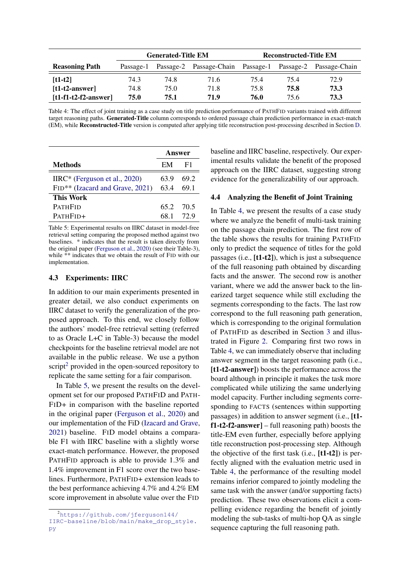<span id="page-7-2"></span>

|                        | <b>Generated-Title EM</b> |      |                                                           |      | <b>Reconstructed-Title EM</b> |      |
|------------------------|---------------------------|------|-----------------------------------------------------------|------|-------------------------------|------|
| <b>Reasoning Path</b>  | Passage-1                 |      | Passage-2 Passage-Chain Passage-1 Passage-2 Passage-Chain |      |                               |      |
| $[t1-t2]$              | 74.3                      | 74.8 | 71.6                                                      | 75.4 | 75.4                          | 72.9 |
| $[t1-t2-answer]$       | 74.8                      | 75.0 | 71.8                                                      | 75.8 | 75.8                          | 73.3 |
| $[t1-f1-t2-f2-answer]$ | 75.0                      | 75.1 | 71.9                                                      | 76.0 | 75.6                          | 73.3 |

Table 4: The effect of joint training as a case study on title prediction performance of PATHFID variants trained with different target reasoning paths. Generated-Title column corresponds to ordered passage chain prediction performance in exact-match (EM), while Reconstructed-Title version is computed after applying title reconstruction post-processing described in Section [D.](#page-13-0)

<span id="page-7-1"></span>

|                                  | <b>Answer</b> |           |
|----------------------------------|---------------|-----------|
| Methods                          | EM            | F1        |
| IIRC* (Ferguson et al., $2020$ ) | 63.9          | 69.2      |
| FID** (Izacard and Grave, 2021)  | 63.4          | 69.1      |
| <b>This Work</b>                 |               |           |
| PathFid                          |               | 65.2 70.5 |
| PathFid+                         | 68 1          | 72.9      |

Table 5: Experimental results on IIRC dataset in model-free retrieval setting comparing the proposed method against two baselines. \* indicates that the result is taken directly from the original paper [\(Ferguson et al.,](#page-9-4) [2020\)](#page-9-4) (see their Table-3), while \*\* indicates that we obtain the result of FID with our implementation.

#### 4.3 Experiments: IIRC

In addition to our main experiments presented in greater detail, we also conduct experiments on IIRC dataset to verify the generalization of the proposed approach. To this end, we closely follow the authors' model-free retrieval setting (referred to as Oracle L+C in Table-3) because the model checkpoints for the baseline retrieval model are not available in the public release. We use a python script<sup>[2](#page-7-0)</sup> provided in the open-sourced repository to replicate the same setting for a fair comparison.

In Table [5,](#page-7-1) we present the results on the development set for our proposed PATHFID and PATH-FID+ in comparison with the baseline reported in the original paper [\(Ferguson et al.,](#page-9-4) [2020\)](#page-9-4) and our implementation of the FiD [\(Izacard and Grave,](#page-9-0) [2021\)](#page-9-0) baseline. FID model obtains a comparable F1 with IIRC baseline with a slightly worse exact-match performance. However, the proposed PATHFID approach is able to provide 1.3% and 1.4% improvement in F1 score over the two baselines. Furthermore, PATHFID+ extension leads to the best performance achieving 4.7% and 4.2% EM score improvement in absolute value over the FID

baseline and IIRC baseline, respectively. Our experimental results validate the benefit of the proposed approach on the IIRC dataset, suggesting strong evidence for the generalizability of our approach.

#### 4.4 Analyzing the Benefit of Joint Training

In Table [4,](#page-7-2) we present the results of a case study where we analyze the benefit of multi-task training on the passage chain prediction. The first row of the table shows the results for training PATHFID only to predict the sequence of titles for the gold passages (i.e., [t1-t2]), which is just a subsequence of the full reasoning path obtained by discarding facts and the answer. The second row is another variant, where we add the answer back to the linearized target sequence while still excluding the segments corresponding to the facts. The last row correspond to the full reasoning path generation, which is corresponding to the original formulation of PATHFID as described in Section [3](#page-2-3) and illustrated in Figure [2.](#page-3-0) Comparing first two rows in Table [4,](#page-7-2) we can immediately observe that including answer segment in the target reasoning path (i.e., [t1-t2-answer]) boosts the performance across the board although in principle it makes the task more complicated while utilizing the same underlying model capacity. Further including segments corresponding to FACTS (sentences within supporting passages) in addition to answer segment (i.e., [t1  $f1-t2-f2-answer]$  – full reasoning path) boosts the title-EM even further, especially before applying title reconstruction post-processing step. Although the objective of the first task (i.e.,  $[t1-t2]$ ) is perfectly aligned with the evaluation metric used in Table [4,](#page-7-2) the performance of the resulting model remains inferior compared to jointly modeling the same task with the answer (and/or supporting facts) prediction. These two observations elicit a compelling evidence regarding the benefit of jointly modeling the sub-tasks of multi-hop QA as single sequence capturing the full reasoning path.

<span id="page-7-0"></span><sup>2</sup>[https://github.com/jferguson144/](https://github.com/jferguson144/IIRC-baseline/blob/main/make_drop_style.py) [IIRC-baseline/blob/main/make\\_drop\\_style.](https://github.com/jferguson144/IIRC-baseline/blob/main/make_drop_style.py) [py](https://github.com/jferguson144/IIRC-baseline/blob/main/make_drop_style.py)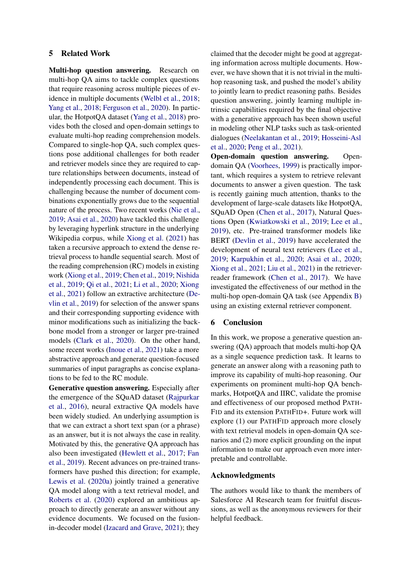### 5 Related Work

Multi-hop question answering. Research on multi-hop QA aims to tackle complex questions that require reasoning across multiple pieces of evidence in multiple documents [\(Welbl et al.,](#page-11-2) [2018;](#page-11-2) [Yang et al.,](#page-11-3) [2018;](#page-11-3) [Ferguson et al.,](#page-9-4) [2020\)](#page-9-4). In particular, the HotpotQA dataset [\(Yang et al.,](#page-11-3) [2018\)](#page-11-3) provides both the closed and open-domain settings to evaluate multi-hop reading comprehension models. Compared to single-hop QA, such complex questions pose additional challenges for both reader and retriever models since they are required to capture relationships between documents, instead of independently processing each document. This is challenging because the number of document combinations exponentially grows due to the sequential nature of the process. Two recent works [\(Nie et al.,](#page-10-9) [2019;](#page-10-9) [Asai et al.,](#page-9-6) [2020\)](#page-9-6) have tackled this challenge by leveraging hyperlink structure in the underlying Wikipedia corpus, while [Xiong et al.](#page-11-4) [\(2021\)](#page-11-4) has taken a recursive approach to extend the dense retrieval process to handle sequential search. Most of the reading comprehension (RC) models in existing work [\(Xiong et al.,](#page-11-7) [2019;](#page-11-7) [Chen et al.,](#page-9-9) [2019;](#page-9-9) [Nishida](#page-10-7) [et al.,](#page-10-7) [2019;](#page-10-7) [Qi et al.,](#page-10-10) [2021;](#page-10-10) [Li et al.,](#page-10-11) [2020;](#page-10-11) [Xiong](#page-11-4) [et al.,](#page-11-4) [2021\)](#page-11-4) follow an extractive architecture [\(De](#page-9-10)[vlin et al.,](#page-9-10) [2019\)](#page-9-10) for selection of the answer spans and their corresponding supporting evidence with minor modifications such as initializing the backbone model from a stronger or larger pre-trained models [\(Clark et al.,](#page-9-11) [2020\)](#page-9-11). On the other hand, some recent works [\(Inoue et al.,](#page-9-12) [2021\)](#page-9-12) take a more abstractive approach and generate question-focused summaries of input paragraphs as concise explanations to be fed to the RC module.

Generative question answering. Especially after the emergence of the SQuAD dataset [\(Rajpurkar](#page-10-0) [et al.,](#page-10-0) [2016\)](#page-10-0), neural extractive QA models have been widely studied. An underlying assumption is that we can extract a short text span (or a phrase) as an answer, but it is not always the case in reality. Motivated by this, the generative QA approach has also been investigated [\(Hewlett et al.,](#page-9-13) [2017;](#page-9-13) [Fan](#page-9-14) [et al.,](#page-9-14) [2019\)](#page-9-14). Recent advances on pre-trained transformers have pushed this direction; for example, [Lewis et al.](#page-9-7) [\(2020a\)](#page-9-7) jointly trained a generative QA model along with a text retrieval model, and [Roberts et al.](#page-10-12) [\(2020\)](#page-10-12) explored an ambitious approach to directly generate an answer without any evidence documents. We focused on the fusionin-decoder model [\(Izacard and Grave,](#page-9-0) [2021\)](#page-9-0); they

claimed that the decoder might be good at aggregating information across multiple documents. However, we have shown that it is not trivial in the multihop reasoning task, and pushed the model's ability to jointly learn to predict reasoning paths. Besides question answering, jointly learning multiple intrinsic capabilities required by the final objective with a generative approach has been shown useful in modeling other NLP tasks such as task-oriented dialogues [\(Neelakantan et al.,](#page-10-13) [2019;](#page-10-13) [Hosseini-Asl](#page-9-15) [et al.,](#page-9-15) [2020;](#page-9-15) [Peng et al.,](#page-10-14) [2021\)](#page-10-14).

Open-domain question answering. Opendomain QA [\(Voorhees,](#page-11-0) [1999\)](#page-11-0) is practically important, which requires a system to retrieve relevant documents to answer a given question. The task is recently gaining much attention, thanks to the development of large-scale datasets like HotpotQA, SQuAD Open [\(Chen et al.,](#page-9-16) [2017\)](#page-9-16), Natural Questions Open [\(Kwiatkowski et al.,](#page-9-17) [2019;](#page-9-17) [Lee et al.,](#page-9-18) [2019\)](#page-9-18), etc. Pre-trained transformer models like BERT [\(Devlin et al.,](#page-9-10) [2019\)](#page-9-10) have accelerated the development of neural text retrievers [\(Lee et al.,](#page-9-18) [2019;](#page-9-18) [Karpukhin et al.,](#page-9-5) [2020;](#page-9-5) [Asai et al.,](#page-9-6) [2020;](#page-9-6) [Xiong et al.,](#page-11-4) [2021;](#page-11-4) [Liu et al.,](#page-10-15) [2021\)](#page-10-15) in the retrieverreader framework [\(Chen et al.,](#page-9-16) [2017\)](#page-9-16). We have investigated the effectiveness of our method in the multi-hop open-domain QA task (see Appendix [B\)](#page-12-0) using an existing external retriever component.

### 6 Conclusion

In this work, we propose a generative question answering (QA) approach that models multi-hop QA as a single sequence prediction task. It learns to generate an answer along with a reasoning path to improve its capability of multi-hop reasoning. Our experiments on prominent multi-hop QA benchmarks, HotpotQA and IIRC, validate the promise and effectiveness of our proposed method PATH-FID and its extension PATHFID+. Future work will explore (1) our PATHFID approach more closely with text retrieval models in open-domain QA scenarios and (2) more explicit grounding on the input information to make our approach even more interpretable and controllable.

### Acknowledgments

The authors would like to thank the members of Salesforce AI Research team for fruitful discussions, as well as the anonymous reviewers for their helpful feedback.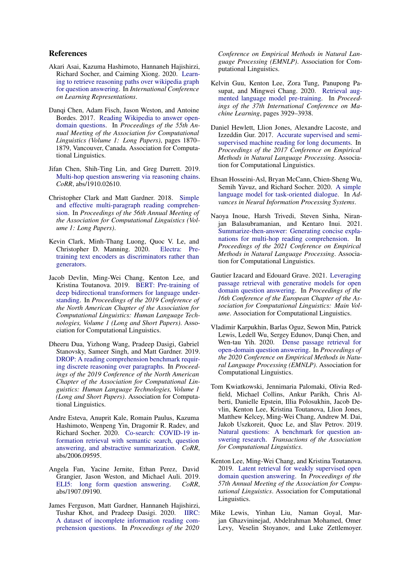### References

- <span id="page-9-6"></span>Akari Asai, Kazuma Hashimoto, Hannaneh Hajishirzi, Richard Socher, and Caiming Xiong. 2020. [Learn](https://openreview.net/forum?id=SJgVHkrYDH)[ing to retrieve reasoning paths over wikipedia graph](https://openreview.net/forum?id=SJgVHkrYDH) [for question answering.](https://openreview.net/forum?id=SJgVHkrYDH) In *International Conference on Learning Representations*.
- <span id="page-9-16"></span>Danqi Chen, Adam Fisch, Jason Weston, and Antoine Bordes. 2017. [Reading Wikipedia to answer open](https://doi.org/10.18653/v1/P17-1171)[domain questions.](https://doi.org/10.18653/v1/P17-1171) In *Proceedings of the 55th Annual Meeting of the Association for Computational Linguistics (Volume 1: Long Papers)*, pages 1870– 1879, Vancouver, Canada. Association for Computational Linguistics.
- <span id="page-9-9"></span>Jifan Chen, Shih-Ting Lin, and Greg Durrett. 2019. [Multi-hop question answering via reasoning chains.](http://arxiv.org/abs/1910.02610) *CoRR*, abs/1910.02610.
- <span id="page-9-2"></span>Christopher Clark and Matt Gardner. 2018. [Simple](https://aclanthology.org/P18-1078) [and effective multi-paragraph reading comprehen](https://aclanthology.org/P18-1078)[sion.](https://aclanthology.org/P18-1078) In *Proceedings of the 56th Annual Meeting of the Association for Computational Linguistics (Volume 1: Long Papers)*.
- <span id="page-9-11"></span>Kevin Clark, Minh-Thang Luong, Quoc V. Le, and<br>Christopher D. Manning. 2020. Electra: Pre-Christopher D. Manning. 2020. [training text encoders as discriminators rather than](http://arxiv.org/abs/2003.10555) [generators.](http://arxiv.org/abs/2003.10555)
- <span id="page-9-10"></span>Jacob Devlin, Ming-Wei Chang, Kenton Lee, and Kristina Toutanova. 2019. [BERT: Pre-training of](https://aclanthology.org/N19-1423) [deep bidirectional transformers for language under](https://aclanthology.org/N19-1423)[standing.](https://aclanthology.org/N19-1423) In *Proceedings of the 2019 Conference of the North American Chapter of the Association for Computational Linguistics: Human Language Technologies, Volume 1 (Long and Short Papers)*. Association for Computational Linguistics.
- <span id="page-9-8"></span>Dheeru Dua, Yizhong Wang, Pradeep Dasigi, Gabriel Stanovsky, Sameer Singh, and Matt Gardner. 2019. [DROP: A reading comprehension benchmark requir](https://aclanthology.org/N19-1246)[ing discrete reasoning over paragraphs.](https://aclanthology.org/N19-1246) In *Proceedings of the 2019 Conference of the North American Chapter of the Association for Computational Linguistics: Human Language Technologies, Volume 1 (Long and Short Papers)*. Association for Computational Linguistics.
- <span id="page-9-1"></span>Andre Esteva, Anuprit Kale, Romain Paulus, Kazuma Hashimoto, Wenpeng Yin, Dragomir R. Radev, and Richard Socher. 2020. [Co-search: COVID-19 in](http://arxiv.org/abs/2006.09595)[formation retrieval with semantic search, question](http://arxiv.org/abs/2006.09595) [answering, and abstractive summarization.](http://arxiv.org/abs/2006.09595) *CoRR*, abs/2006.09595.
- <span id="page-9-14"></span>Angela Fan, Yacine Jernite, Ethan Perez, David Grangier, Jason Weston, and Michael Auli. 2019. [ELI5: long form question answering.](http://arxiv.org/abs/1907.09190) *CoRR*, abs/1907.09190.
- <span id="page-9-4"></span>James Ferguson, Matt Gardner, Hannaneh Hajishirzi, Tushar Khot, and Pradeep Dasigi. 2020. [IIRC:](https://aclanthology.org/2020.emnlp-main.86) [A dataset of incomplete information reading com](https://aclanthology.org/2020.emnlp-main.86)[prehension questions.](https://aclanthology.org/2020.emnlp-main.86) In *Proceedings of the 2020*

*Conference on Empirical Methods in Natural Language Processing (EMNLP)*. Association for Computational Linguistics.

- <span id="page-9-3"></span>Kelvin Guu, Kenton Lee, Zora Tung, Panupong Pasupat, and Mingwei Chang. 2020. [Retrieval aug](https://proceedings.mlr.press/v119/guu20a.html)[mented language model pre-training.](https://proceedings.mlr.press/v119/guu20a.html) In *Proceedings of the 37th International Conference on Machine Learning*, pages 3929–3938.
- <span id="page-9-13"></span>Daniel Hewlett, Llion Jones, Alexandre Lacoste, and Izzeddin Gur. 2017. [Accurate supervised and semi](https://aclanthology.org/D17-1214)[supervised machine reading for long documents.](https://aclanthology.org/D17-1214) In *Proceedings of the 2017 Conference on Empirical Methods in Natural Language Processing*. Association for Computational Linguistics.
- <span id="page-9-15"></span>Ehsan Hosseini-Asl, Bryan McCann, Chien-Sheng Wu, Semih Yavuz, and Richard Socher. 2020. [A simple](https://proceedings.neurips.cc/paper/2020/file/e946209592563be0f01c844ab2170f0c-Paper.pdf) [language model for task-oriented dialogue.](https://proceedings.neurips.cc/paper/2020/file/e946209592563be0f01c844ab2170f0c-Paper.pdf) In *Advances in Neural Information Processing Systems*.
- <span id="page-9-12"></span>Naoya Inoue, Harsh Trivedi, Steven Sinha, Niranjan Balasubramanian, and Kentaro Inui. 2021. [Summarize-then-answer: Generating concise expla](https://aclanthology.org/2021.emnlp-main.490)[nations for multi-hop reading comprehension.](https://aclanthology.org/2021.emnlp-main.490) In *Proceedings of the 2021 Conference on Empirical Methods in Natural Language Processing*. Association for Computational Linguistics.
- <span id="page-9-0"></span>Gautier Izacard and Edouard Grave. 2021. [Leveraging](https://aclanthology.org/2021.eacl-main.74) [passage retrieval with generative models for open](https://aclanthology.org/2021.eacl-main.74) [domain question answering.](https://aclanthology.org/2021.eacl-main.74) In *Proceedings of the 16th Conference of the European Chapter of the Association for Computational Linguistics: Main Volume*. Association for Computational Linguistics.
- <span id="page-9-5"></span>Vladimir Karpukhin, Barlas Oguz, Sewon Min, Patrick Lewis, Ledell Wu, Sergey Edunov, Danqi Chen, and Wen-tau Yih. 2020. [Dense passage retrieval for](https://aclanthology.org/2020.emnlp-main.550) [open-domain question answering.](https://aclanthology.org/2020.emnlp-main.550) In *Proceedings of the 2020 Conference on Empirical Methods in Natural Language Processing (EMNLP)*. Association for Computational Linguistics.
- <span id="page-9-17"></span>Tom Kwiatkowski, Jennimaria Palomaki, Olivia Redfield, Michael Collins, Ankur Parikh, Chris Alberti, Danielle Epstein, Illia Polosukhin, Jacob Devlin, Kenton Lee, Kristina Toutanova, Llion Jones, Matthew Kelcey, Ming-Wei Chang, Andrew M. Dai, Jakob Uszkoreit, Quoc Le, and Slav Petrov. 2019. [Natural questions: A benchmark for question an](https://aclanthology.org/Q19-1026)[swering research.](https://aclanthology.org/Q19-1026) *Transactions of the Association for Computational Linguistics*.
- <span id="page-9-18"></span>Kenton Lee, Ming-Wei Chang, and Kristina Toutanova. 2019. [Latent retrieval for weakly supervised open](https://aclanthology.org/P19-1612) [domain question answering.](https://aclanthology.org/P19-1612) In *Proceedings of the 57th Annual Meeting of the Association for Computational Linguistics*. Association for Computational Linguistics.
- <span id="page-9-7"></span>Mike Lewis, Yinhan Liu, Naman Goyal, Marjan Ghazvininejad, Abdelrahman Mohamed, Omer Levy, Veselin Stoyanov, and Luke Zettlemoyer.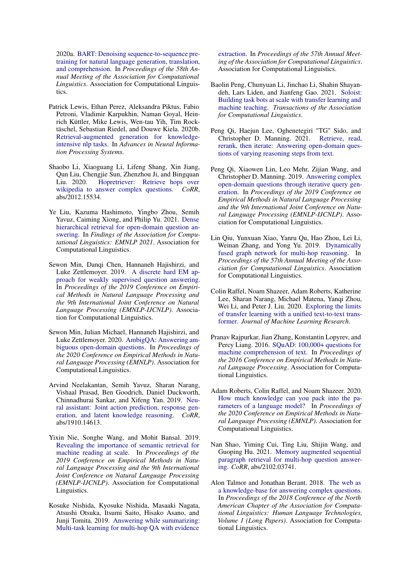2020a. [BART: Denoising sequence-to-sequence pre](https://aclanthology.org/2020.acl-main.703)[training for natural language generation, translation,](https://aclanthology.org/2020.acl-main.703) [and comprehension.](https://aclanthology.org/2020.acl-main.703) In *Proceedings of the 58th Annual Meeting of the Association for Computational Linguistics*. Association for Computational Linguistics.

- <span id="page-10-3"></span>Patrick Lewis, Ethan Perez, Aleksandra Piktus, Fabio Petroni, Vladimir Karpukhin, Naman Goyal, Heinrich Küttler, Mike Lewis, Wen-tau Yih, Tim Rocktäschel, Sebastian Riedel, and Douwe Kiela. 2020b. [Retrieval-augmented generation for knowledge](https://proceedings.neurips.cc/paper/2020/file/6b493230205f780e1bc26945df7481e5-Paper.pdf)[intensive nlp tasks.](https://proceedings.neurips.cc/paper/2020/file/6b493230205f780e1bc26945df7481e5-Paper.pdf) In *Advances in Neural Information Processing Systems*.
- <span id="page-10-11"></span>Shaobo Li, Xiaoguang Li, Lifeng Shang, Xin Jiang, Qun Liu, Chengjie Sun, Zhenzhou Ji, and Bingquan Liu. 2020. [Hopretriever: Retrieve hops over](http://arxiv.org/abs/2012.15534) [wikipedia to answer complex questions.](http://arxiv.org/abs/2012.15534) *CoRR*, abs/2012.15534.
- <span id="page-10-15"></span>Ye Liu, Kazuma Hashimoto, Yingbo Zhou, Semih Yavuz, Caiming Xiong, and Philip Yu. 2021. [Dense](https://aclanthology.org/2021.findings-emnlp.19) [hierarchical retrieval for open-domain question an](https://aclanthology.org/2021.findings-emnlp.19)[swering.](https://aclanthology.org/2021.findings-emnlp.19) In *Findings of the Association for Computational Linguistics: EMNLP 2021*. Association for Computational Linguistics.
- <span id="page-10-2"></span>Sewon Min, Danqi Chen, Hannaneh Hajishirzi, and Luke Zettlemoyer. 2019. [A discrete hard EM ap](https://aclanthology.org/D19-1284)[proach for weakly supervised question answering.](https://aclanthology.org/D19-1284) In *Proceedings of the 2019 Conference on Empirical Methods in Natural Language Processing and the 9th International Joint Conference on Natural Language Processing (EMNLP-IJCNLP)*. Association for Computational Linguistics.
- <span id="page-10-4"></span>Sewon Min, Julian Michael, Hannaneh Hajishirzi, and Luke Zettlemoyer. 2020. [AmbigQA: Answering am](https://aclanthology.org/2020.emnlp-main.466)[biguous open-domain questions.](https://aclanthology.org/2020.emnlp-main.466) In *Proceedings of the 2020 Conference on Empirical Methods in Natural Language Processing (EMNLP)*. Association for Computational Linguistics.
- <span id="page-10-13"></span>Arvind Neelakantan, Semih Yavuz, Sharan Narang, Vishaal Prasad, Ben Goodrich, Daniel Duckworth, Chinnadhurai Sankar, and Xifeng Yan. 2019. [Neu](http://arxiv.org/abs/1910.14613)[ral assistant: Joint action prediction, response gen](http://arxiv.org/abs/1910.14613)[eration, and latent knowledge reasoning.](http://arxiv.org/abs/1910.14613) *CoRR*, abs/1910.14613.
- <span id="page-10-9"></span>Yixin Nie, Songhe Wang, and Mohit Bansal. 2019. [Revealing the importance of semantic retrieval for](https://aclanthology.org/D19-1258) [machine reading at scale.](https://aclanthology.org/D19-1258) In *Proceedings of the 2019 Conference on Empirical Methods in Natural Language Processing and the 9th International Joint Conference on Natural Language Processing (EMNLP-IJCNLP)*. Association for Computational Linguistics.
- <span id="page-10-7"></span>Kosuke Nishida, Kyosuke Nishida, Masaaki Nagata, Atsushi Otsuka, Itsumi Saito, Hisako Asano, and Junji Tomita. 2019. [Answering while summarizing:](https://aclanthology.org/P19-1225) [Multi-task learning for multi-hop QA with evidence](https://aclanthology.org/P19-1225)

[extraction.](https://aclanthology.org/P19-1225) In *Proceedings of the 57th Annual Meeting of the Association for Computational Linguistics*. Association for Computational Linguistics.

- <span id="page-10-14"></span>Baolin Peng, Chunyuan Li, Jinchao Li, Shahin Shayandeh, Lars Liden, and Jianfeng Gao. 2021. [Soloist:](https://aclanthology.org/2021.tacl-1.49) [Building task bots at scale with transfer learning and](https://aclanthology.org/2021.tacl-1.49) [machine teaching.](https://aclanthology.org/2021.tacl-1.49) *Transactions of the Association for Computational Linguistics*.
- <span id="page-10-10"></span>Peng Qi, Haejun Lee, Oghenetegiri "TG" Sido, and Christopher D. Manning. 2021. [Retrieve, read,](http://arxiv.org/abs/2010.12527) [rerank, then iterate: Answering open-domain ques](http://arxiv.org/abs/2010.12527)[tions of varying reasoning steps from text.](http://arxiv.org/abs/2010.12527)
- <span id="page-10-16"></span>Peng Qi, Xiaowen Lin, Leo Mehr, Zijian Wang, and Christopher D. Manning. 2019. [Answering complex](https://aclanthology.org/D19-1261) [open-domain questions through iterative query gen](https://aclanthology.org/D19-1261)[eration.](https://aclanthology.org/D19-1261) In *Proceedings of the 2019 Conference on Empirical Methods in Natural Language Processing and the 9th International Joint Conference on Natural Language Processing (EMNLP-IJCNLP)*. Association for Computational Linguistics.
- <span id="page-10-6"></span>Lin Qiu, Yunxuan Xiao, Yanru Qu, Hao Zhou, Lei Li, Weinan Zhang, and Yong Yu. 2019. [Dynamically](https://aclanthology.org/P19-1617) [fused graph network for multi-hop reasoning.](https://aclanthology.org/P19-1617) In *Proceedings of the 57th Annual Meeting of the Association for Computational Linguistics*. Association for Computational Linguistics.
- <span id="page-10-5"></span>Colin Raffel, Noam Shazeer, Adam Roberts, Katherine Lee, Sharan Narang, Michael Matena, Yanqi Zhou, Wei Li, and Peter J. Liu. 2020. [Exploring the limits](http://jmlr.org/papers/v21/20-074.html) [of transfer learning with a unified text-to-text trans](http://jmlr.org/papers/v21/20-074.html)[former.](http://jmlr.org/papers/v21/20-074.html) *Journal of Machine Learning Research*.
- <span id="page-10-0"></span>Pranav Rajpurkar, Jian Zhang, Konstantin Lopyrev, and Percy Liang. 2016. [SQuAD: 100,000+ questions for](https://aclanthology.org/D16-1264) [machine comprehension of text.](https://aclanthology.org/D16-1264) In *Proceedings of the 2016 Conference on Empirical Methods in Natural Language Processing*. Association for Computational Linguistics.
- <span id="page-10-12"></span>Adam Roberts, Colin Raffel, and Noam Shazeer. 2020. [How much knowledge can you pack into the pa](https://aclanthology.org/2020.emnlp-main.437)[rameters of a language model?](https://aclanthology.org/2020.emnlp-main.437) In *Proceedings of the 2020 Conference on Empirical Methods in Natural Language Processing (EMNLP)*. Association for Computational Linguistics.
- <span id="page-10-8"></span>Nan Shao, Yiming Cui, Ting Liu, Shijin Wang, and Guoping Hu. 2021. [Memory augmented sequential](http://arxiv.org/abs/2102.03741) [paragraph retrieval for multi-hop question answer](http://arxiv.org/abs/2102.03741)[ing.](http://arxiv.org/abs/2102.03741) *CoRR*, abs/2102.03741.
- <span id="page-10-1"></span>Alon Talmor and Jonathan Berant. 2018. [The web as](https://aclanthology.org/N18-1059) [a knowledge-base for answering complex questions.](https://aclanthology.org/N18-1059) In *Proceedings of the 2018 Conference of the North American Chapter of the Association for Computational Linguistics: Human Language Technologies, Volume 1 (Long Papers)*. Association for Computational Linguistics.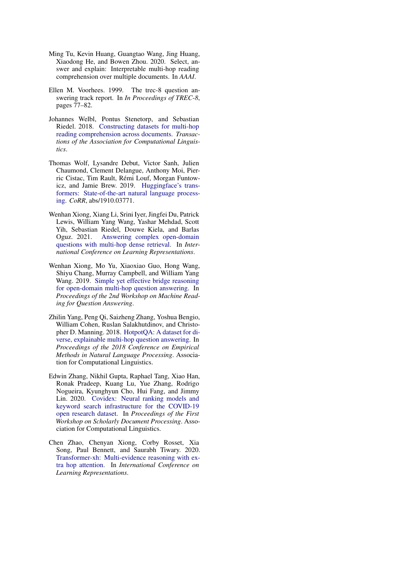- <span id="page-11-6"></span>Ming Tu, Kevin Huang, Guangtao Wang, Jing Huang, Xiaodong He, and Bowen Zhou. 2020. Select, answer and explain: Interpretable multi-hop reading comprehension over multiple documents. In *AAAI*.
- <span id="page-11-0"></span>Ellen M. Voorhees. 1999. The trec-8 question answering track report. In *In Proceedings of TREC-8*, pages 77–82.
- <span id="page-11-2"></span>Johannes Welbl, Pontus Stenetorp, and Sebastian Riedel. 2018. [Constructing datasets for multi-hop](https://aclanthology.org/Q18-1021) [reading comprehension across documents.](https://aclanthology.org/Q18-1021) *Transactions of the Association for Computational Linguistics*.
- <span id="page-11-5"></span>Thomas Wolf, Lysandre Debut, Victor Sanh, Julien Chaumond, Clement Delangue, Anthony Moi, Pierric Cistac, Tim Rault, Rémi Louf, Morgan Funtowicz, and Jamie Brew. 2019. [Huggingface's trans](http://arxiv.org/abs/1910.03771)[formers: State-of-the-art natural language process](http://arxiv.org/abs/1910.03771)[ing.](http://arxiv.org/abs/1910.03771) *CoRR*, abs/1910.03771.
- <span id="page-11-4"></span>Wenhan Xiong, Xiang Li, Srini Iyer, Jingfei Du, Patrick Lewis, William Yang Wang, Yashar Mehdad, Scott Yih, Sebastian Riedel, Douwe Kiela, and Barlas Oguz. 2021. [Answering complex open-domain](https://openreview.net/forum?id=EMHoBG0avc1) [questions with multi-hop dense retrieval.](https://openreview.net/forum?id=EMHoBG0avc1) In *International Conference on Learning Representations*.
- <span id="page-11-7"></span>Wenhan Xiong, Mo Yu, Xiaoxiao Guo, Hong Wang, Shiyu Chang, Murray Campbell, and William Yang Wang. 2019. [Simple yet effective bridge reasoning](https://aclanthology.org/D19-5806) [for open-domain multi-hop question answering.](https://aclanthology.org/D19-5806) In *Proceedings of the 2nd Workshop on Machine Reading for Question Answering*.
- <span id="page-11-3"></span>Zhilin Yang, Peng Qi, Saizheng Zhang, Yoshua Bengio, William Cohen, Ruslan Salakhutdinov, and Christopher D. Manning. 2018. [HotpotQA: A dataset for di](https://aclanthology.org/D18-1259)[verse, explainable multi-hop question answering.](https://aclanthology.org/D18-1259) In *Proceedings of the 2018 Conference on Empirical Methods in Natural Language Processing*. Association for Computational Linguistics.
- <span id="page-11-1"></span>Edwin Zhang, Nikhil Gupta, Raphael Tang, Xiao Han, Ronak Pradeep, Kuang Lu, Yue Zhang, Rodrigo Nogueira, Kyunghyun Cho, Hui Fang, and Jimmy Lin. 2020. [Covidex: Neural ranking models and](https://aclanthology.org/2020.sdp-1.5) [keyword search infrastructure for the COVID-19](https://aclanthology.org/2020.sdp-1.5) [open research dataset.](https://aclanthology.org/2020.sdp-1.5) In *Proceedings of the First Workshop on Scholarly Document Processing*. Association for Computational Linguistics.
- <span id="page-11-8"></span>Chen Zhao, Chenyan Xiong, Corby Rosset, Xia Song, Paul Bennett, and Saurabh Tiwary. 2020. [Transformer-xh: Multi-evidence reasoning with ex](https://openreview.net/forum?id=r1eIiCNYwS)[tra hop attention.](https://openreview.net/forum?id=r1eIiCNYwS) In *International Conference on Learning Representations*.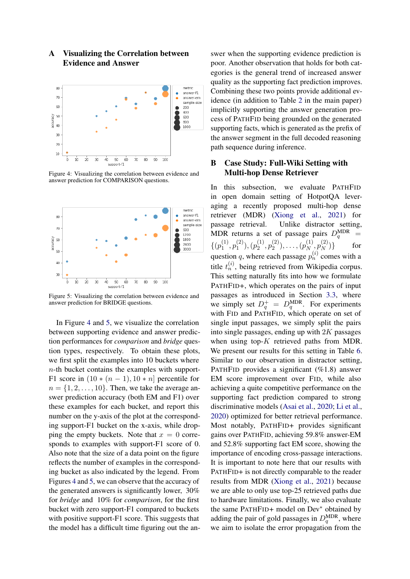# A Visualizing the Correlation between Evidence and Answer

<span id="page-12-1"></span>

Figure 4: Visualizing the correlation between evidence and answer prediction for COMPARISON questions.

<span id="page-12-2"></span>

Figure 5: Visualizing the correlation between evidence and answer prediction for BRIDGE questions.

In Figure [4](#page-12-1) and [5,](#page-12-2) we visualize the correlation between supporting evidence and answer prediction performances for *comparison* and *bridge* question types, respectively. To obtain these plots, we first split the examples into 10 buckets where  $n$ -th bucket contains the examples with support-F1 score in  $(10 * (n - 1), 10 * n]$  percentile for  $n = \{1, 2, \ldots, 10\}$ . Then, we take the average answer prediction accuracy (both EM and F1) over these examples for each bucket, and report this number on the y-axis of the plot at the corresponding support-F1 bucket on the x-axis, while dropping the empty buckets. Note that  $x = 0$  corresponds to examples with support-F1 score of 0. Also note that the size of a data point on the figure reflects the number of examples in the corresponding bucket as also indicated by the legend. From Figures [4](#page-12-1) and [5,](#page-12-2) we can observe that the accuracy of the generated answers is significantly lower, 30% for *bridge* and 10% for *comparison*, for the first bucket with zero support-F1 compared to buckets with positive support-F1 score. This suggests that the model has a difficult time figuring out the answer when the supporting evidence prediction is poor. Another observation that holds for both categories is the general trend of increased answer quality as the supporting fact prediction improves. Combining these two points provide additional evidence (in addition to Table [2](#page-5-1) in the main paper) implicitly supporting the answer generation process of PATHFID being grounded on the generated supporting facts, which is generated as the prefix of the answer segment in the full decoded reasoning path sequence during inference.

# <span id="page-12-0"></span>B Case Study: Full-Wiki Setting with Multi-hop Dense Retriever

In this subsection, we evaluate PATHFID in open domain setting of HotpotQA leveraging a recently proposed multi-hop dense retriever (MDR) [\(Xiong et al.,](#page-11-4) [2021\)](#page-11-4) for passage retrieval. Unlike distractor setting, MDR returns a set of passage pairs  $D_q^{\text{MDR}}$  =  $\{ (p_1^{(1)} \}$  $\mathfrak{p}_1^{(1)}, \mathfrak{p}_1^{(2)}$  $(p_1^{(2)}), (p_2^{(1)}$  $\mathfrak{p}_2^{(1)}, \mathfrak{p}_2^{(2)}$  $\binom{2}{2}, \ldots, \binom{p_N^{(1)}}{N}$  $p_N^{(1)},p_N^{(2)}$ N )} for question q, where each passage  $p_n^{(i)}$  comes with a title  $t_n^{(i)}$ , being retrieved from Wikipedia corpus. This setting naturally fits into how we formulate PATHFID+, which operates on the pairs of input passages as introduced in Section [3.3,](#page-3-1) where we simply set  $D_q^+ = D_q^{\text{MDR}}$ . For experiments with FID and PATHFID, which operate on set of single input passages, we simply split the pairs into single passages, ending up with  $2K$  passages when using top- $K$  retrieved paths from MDR. We present our results for this setting in Table [6.](#page-13-1) Similar to our observation in distractor setting, PATHFID provides a significant  $(\%1.8)$  answer EM score improvement over FID, while also achieving a quite competitive performance on the supporting fact prediction compared to strong discriminative models [\(Asai et al.,](#page-9-6) [2020;](#page-9-6) [Li et al.,](#page-10-11) [2020\)](#page-10-11) optimized for better retrieval performance. Most notably, PATHFID+ provides significant gains over PATHFID, achieving 59.8% answer-EM and 52.8% supporting fact EM score, showing the importance of encoding cross-passage interactions. It is important to note here that our results with PATHFID+ is not directly comparable to the reader results from MDR [\(Xiong et al.,](#page-11-4) [2021\)](#page-11-4) because we are able to only use top-25 retrieved paths due to hardware limitations. Finally, we also evaluate the same PATHFID+ model on Dev<sup>∗</sup> obtained by adding the pair of gold passages in  $D_q^{\text{MDR}}$ , where we aim to isolate the error propagation from the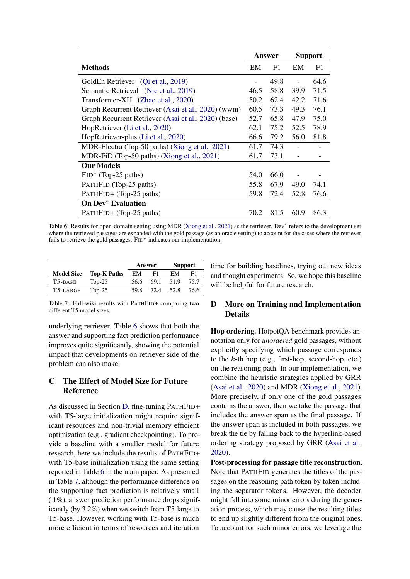<span id="page-13-1"></span>

|                                                      |      | Answer         |      | <b>Support</b> |
|------------------------------------------------------|------|----------------|------|----------------|
| <b>Methods</b>                                       | EM   | F <sub>1</sub> | EM   | F1             |
| GoldEn Retriever (Qi et al., 2019)                   |      | 49.8           |      | 64.6           |
| Semantic Retrieval (Nie et al., 2019)                | 46.5 | 58.8           | 39.9 | 71.5           |
| Transformer-XH (Zhao et al., 2020)                   | 50.2 | 62.4           | 42.2 | 71.6           |
| Graph Recurrent Retriever (Asai et al., 2020) (wwm)  | 60.5 | 73.3           | 49.3 | 76.1           |
| Graph Recurrent Retriever (Asai et al., 2020) (base) |      | 65.8           | 47.9 | 75.0           |
| HopRetriever (Li et al., 2020)                       |      | 75.2           | 52.5 | 78.9           |
| HopRetriever-plus (Li et al., 2020)                  |      | 79.2           | 56.0 | 81.8           |
| MDR-Electra (Top-50 paths) (Xiong et al., 2021)      |      | 74.3           |      |                |
| MDR-FiD (Top-50 paths) (Xiong et al., 2021)          |      | 73.1           |      |                |
| <b>Our Models</b>                                    |      |                |      |                |
| $FID^*$ (Top-25 paths)                               | 54.0 | 66.0           |      |                |
| PATHFID (Top-25 paths)                               |      | 67.9           | 49.0 | 74.1           |
| PATHFID+ (Top-25 paths)                              |      | 72.4           | 52.8 | 76.6           |
| <b>On Dev<sup>*</sup></b> Evaluation                 |      |                |      |                |
| PATHFID+ (Top-25 paths)                              | 70.2 | 81.5           | 60.9 | 86.3           |

Table 6: Results for open-domain setting using MDR [\(Xiong et al.,](#page-11-4) [2021\)](#page-11-4) as the retriever. Dev<sup>\*</sup> refers to the development set where the retrieved passages are expanded with the gold passage (as an oracle setting) to account for the cases where the retriever fails to retrieve the gold passages. FID<sup>\*</sup> indicates our implementation.

<span id="page-13-2"></span>

|                      |                    | Answer |      |       | <b>Support</b> |
|----------------------|--------------------|--------|------|-------|----------------|
| <b>Model Size</b>    | <b>Top-K Paths</b> | EM     | F1   | EM    | F1             |
| T <sub>5</sub> -BASE | Top-25             | 56.6   | 69.1 | 51.9  | 75.7           |
| T5-LARGE             | Top- $25$          | 59.8   | 72.4 | 52. R | 76.6           |
|                      |                    |        |      |       |                |

Table 7: Full-wiki results with PATHFID+ comparing two different T5 model sizes.

underlying retriever. Table [6](#page-13-1) shows that both the answer and supporting fact prediction performance improves quite significantly, showing the potential impact that developments on retriever side of the problem can also make.

# C The Effect of Model Size for Future Reference

As discussed in Section [D,](#page-13-0) fine-tuning PATHFID+ with T5-large initialization might require significant resources and non-trivial memory efficient optimization (e.g., gradient checkpointing). To provide a baseline with a smaller model for future research, here we include the results of PATHFID+ with T5-base initialization using the same setting reported in Table [6](#page-13-1) in the main paper. As presented in Table [7,](#page-13-2) although the performance difference on the supporting fact prediction is relatively small ( 1%), answer prediction performance drops significantly (by 3.2%) when we switch from T5-large to T5-base. However, working with T5-base is much more efficient in terms of resources and iteration

time for building baselines, trying out new ideas and thought experiments. So, we hope this baseline will be helpful for future research.

## <span id="page-13-0"></span>D More on Training and Implementation Details

Hop ordering. HotpotQA benchmark provides annotation only for *unordered* gold passages, without explicitly specifying which passage corresponds to the  $k$ -th hop (e.g., first-hop, second-hop, etc.) on the reasoning path. In our implementation, we combine the heuristic strategies applied by GRR [\(Asai et al.,](#page-9-6) [2020\)](#page-9-6) and MDR [\(Xiong et al.,](#page-11-4) [2021\)](#page-11-4). More precisely, if only one of the gold passages contains the answer, then we take the passage that includes the answer span as the final passage. If the answer span is included in both passages, we break the tie by falling back to the hyperlink-based ordering strategy proposed by GRR [\(Asai et al.,](#page-9-6) [2020\)](#page-9-6).

Post-processing for passage title reconstruction. Note that PATHFID generates the titles of the passages on the reasoning path token by token including the separator tokens. However, the decoder might fall into some minor errors during the generation process, which may cause the resulting titles to end up slightly different from the original ones. To account for such minor errors, we leverage the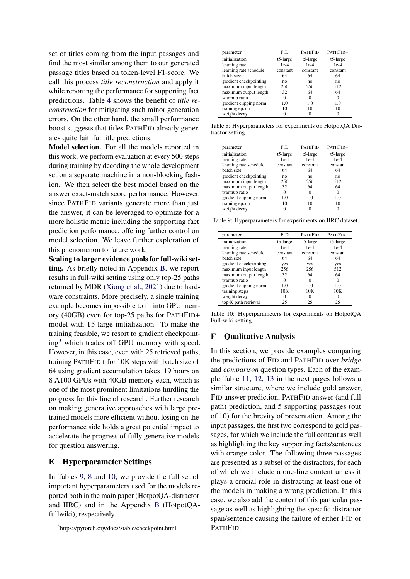set of titles coming from the input passages and find the most similar among them to our generated passage titles based on token-level F1-score. We call this process *title reconstruction* and apply it while reporting the performance for supporting fact predictions. Table [4](#page-7-2) shows the benefit of *title reconstruction* for mitigating such minor generation errors. On the other hand, the small performance boost suggests that titles PATHFID already generates quite faithful title predictions.

Model selection. For all the models reported in this work, we perform evaluation at every 500 steps during training by decoding the whole development set on a separate machine in a non-blocking fashion. We then select the best model based on the answer exact-match score performance. However, since PATHFID variants generate more than just the answer, it can be leveraged to optimize for a more holistic metric including the supporting fact prediction performance, offering further control on model selection. We leave further exploration of this phenomenon to future work.

Scaling to larger evidence pools for full-wiki setting. As briefly noted in Appendix [B,](#page-12-0) we report results in full-wiki setting using only top-25 paths returned by MDR [\(Xiong et al.,](#page-11-4) [2021\)](#page-11-4) due to hardware constraints. More precisely, a single training example becomes impossible to fit into GPU memory (40GB) even for top-25 paths for PATHFID+ model with T5-large initialization. To make the training feasible, we resort to gradient checkpoint- $ing<sup>3</sup>$  $ing<sup>3</sup>$  $ing<sup>3</sup>$  which trades off GPU memory with speed. However, in this case, even with 25 retrieved paths, training PATHFID+ for 10K steps with batch size of 64 using gradient accumulation takes 19 hours on 8 A100 GPUs with 40GB memory each, which is one of the most prominent limitations hurdling the progress for this line of research. Further research on making generative approaches with large pretrained models more efficient without losing on the performance side holds a great potential impact to accelerate the progress of fully generative models for question answering.

#### E Hyperparameter Settings

In Tables [9,](#page-14-1) [8](#page-14-2) and [10,](#page-14-3) we provide the full set of important hyperparameters used for the models reported both in the main paper (HotpotQA-distractor and IIRC) and in the Appendix [B](#page-12-0) (HotpotQAfullwiki), respectively.

<span id="page-14-2"></span>

|                |                | PATHFID+       |
|----------------|----------------|----------------|
| $t5$ -large    | $t5$ -large    | $t5$ -large    |
| $1e-4$         | $1e-4$         | $1e-4$         |
| constant       | constant       | constant       |
| 64             | 64             | 64             |
| n <sub>O</sub> | n <sub>O</sub> | n <sub>O</sub> |
| 256            | 256            | 512            |
| 32             | 64             | 64             |
| $\Omega$       | $\Omega$       | $\Omega$       |
| 1.0            | 1.0            | 1.0            |
| 10             | 10             | 10             |
|                |                |                |
|                | FID            | <b>PATHFID</b> |

Table 8: Hyperparameters for experiments on HotpotQA Distractor setting.

<span id="page-14-1"></span>

| parameter              | FID            | <b>PATHFID</b> | PATHFID+       |
|------------------------|----------------|----------------|----------------|
| initialization         | $t5$ -large    | $t5$ -large    | t5-large       |
| learning rate          | $1e-4$         | $1e-4$         | $1e-4$         |
| learning rate schedule | constant       | constant       | constant       |
| hatch size.            | 64             | 64             | 64             |
| gradient checkpointing | n <sub>O</sub> | n <sub>0</sub> | n <sub>O</sub> |
| maximum input length   | 256            | 256            | 512            |
| maximum output length  | 32             | 64             | 64             |
| warmup ratio           | $\Omega$       | $\Omega$       | $\Omega$       |
| gradient clipping norm | 1.0            | 1.0            | 1.0            |
| training epoch         | 10             | 10             | 10             |
| weight decay           |                |                | $\Omega$       |

Table 9: Hyperparameters for experiments on IIRC dataset.

<span id="page-14-3"></span>

| FID      | <b>PATHFID</b> | PATHFID+ |
|----------|----------------|----------|
| t5-large | t5-large       | t5-large |
| $1e-4$   | $1e-4$         | $1e-4$   |
| constant | constant       | constant |
| 64       | 64             | 64       |
| yes      | yes            | yes      |
| 256      | 256            | 512      |
| 32       | 64             | 64       |
|          | $\Omega$       | $\Omega$ |
| 1.0      | 1.0            | 1.0      |
| 10K      | 10K            | 10K      |
| $\theta$ | $\theta$       | 0        |
| 25       | 25             | 25       |
|          |                |          |

Table 10: Hyperparameters for experiments on HotpotQA Full-wiki setting.

### F Qualitative Analysis

In this section, we provide examples comparing the predictions of FID and PATHFID over *bridge* and *comparison* question types. Each of the example Table [11,](#page-15-0) [12,](#page-16-0) [13](#page-16-1) in the next pages follows a similar structure, where we include gold answer, FID answer prediction, PATHFID answer (and full path) prediction, and 5 supporting passages (out of 10) for the brevity of presentation. Among the input passages, the first two correspond to gold passages, for which we include the full content as well as highlighting the key supporting facts/sentences with orange color. The following three passages are presented as a subset of the distractors, for each of which we include a one-line content unless it plays a crucial role in distracting at least one of the models in making a wrong prediction. In this case, we also add the content of this particular passage as well as highlighting the specific distractor span/sentence causing the failure of either FID or PATHFID.

<span id="page-14-0"></span><sup>3</sup> https://pytorch.org/docs/stable/checkpoint.html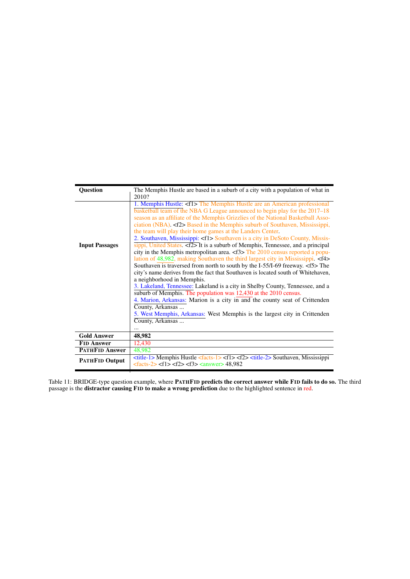<span id="page-15-0"></span>

| <b>Ouestion</b>       | The Memphis Hustle are based in a suburb of a city with a population of what in                                                                                                                                                                                                                                                                                                                                                                                                                                                                                                                                                                                                                                                                                                                                                                                                                                                                                                                                                                      |  |  |
|-----------------------|------------------------------------------------------------------------------------------------------------------------------------------------------------------------------------------------------------------------------------------------------------------------------------------------------------------------------------------------------------------------------------------------------------------------------------------------------------------------------------------------------------------------------------------------------------------------------------------------------------------------------------------------------------------------------------------------------------------------------------------------------------------------------------------------------------------------------------------------------------------------------------------------------------------------------------------------------------------------------------------------------------------------------------------------------|--|--|
|                       | 2010?                                                                                                                                                                                                                                                                                                                                                                                                                                                                                                                                                                                                                                                                                                                                                                                                                                                                                                                                                                                                                                                |  |  |
| <b>Input Passages</b> | 1. Memphis Hustle: <f1> The Memphis Hustle are an American professional<br/>basketball team of the NBA G League announced to begin play for the 2017–18<br/>season as an affiliate of the Memphis Grizzlies of the National Basketball Asso-<br/>ciation (NBA). <math>\langle</math> (2&gt; Based in the Memphis suburb of Southaven, Mississippi,<br/>the team will play their home games at the Landers Center.<br/>2. Southaven, Mississippi: <f1> Southaven is a city in DeSoto County, Missis-<br/><math>\frac{1}{\text{sippi}}</math>, United States. <f2> It is a suburb of Memphis, Tennessee, and a principal<br/>city in the Memphis metropolitan area. <math>\langle f3 \rangle</math> The 2010 census reported a popu-<br/>lation of 48,982, making Southaven the third largest city in Mississippi. <f4><br/>Southaven is traversed from north to south by the I-55/I-69 freeway. <f5> The<br/>city's name derives from the fact that Southaven is located south of Whitehaven,<br/>a neighborhood in Memphis.</f5></f4></f2></f1></f1> |  |  |
|                       | 3. Lakeland, Tennessee: Lakeland is a city in Shelby County, Tennessee, and a<br>suburb of Memphis. The population was 12,430 at the 2010 census.                                                                                                                                                                                                                                                                                                                                                                                                                                                                                                                                                                                                                                                                                                                                                                                                                                                                                                    |  |  |
|                       | 4. Marion, Arkansas: Marion is a city in and the county seat of Crittenden                                                                                                                                                                                                                                                                                                                                                                                                                                                                                                                                                                                                                                                                                                                                                                                                                                                                                                                                                                           |  |  |
|                       | County, Arkansas<br>5. West Memphis, Arkansas: West Memphis is the largest city in Crittenden                                                                                                                                                                                                                                                                                                                                                                                                                                                                                                                                                                                                                                                                                                                                                                                                                                                                                                                                                        |  |  |
|                       | County, Arkansas                                                                                                                                                                                                                                                                                                                                                                                                                                                                                                                                                                                                                                                                                                                                                                                                                                                                                                                                                                                                                                     |  |  |
|                       |                                                                                                                                                                                                                                                                                                                                                                                                                                                                                                                                                                                                                                                                                                                                                                                                                                                                                                                                                                                                                                                      |  |  |
| <b>Gold Answer</b>    | 48,982                                                                                                                                                                                                                                                                                                                                                                                                                                                                                                                                                                                                                                                                                                                                                                                                                                                                                                                                                                                                                                               |  |  |
| <b>FID Answer</b>     | 12,430                                                                                                                                                                                                                                                                                                                                                                                                                                                                                                                                                                                                                                                                                                                                                                                                                                                                                                                                                                                                                                               |  |  |
| <b>PATHFID Answer</b> | 48,982                                                                                                                                                                                                                                                                                                                                                                                                                                                                                                                                                                                                                                                                                                                                                                                                                                                                                                                                                                                                                                               |  |  |
| <b>PATHFID Output</b> | $\lt$ title-1> Memphis Hustle $\lt$ facts-1> $\lt$ f1> $\lt$ f2> $\lt$ title-2> Southaven, Mississippi<br>$\text{-(facts-2)} < f1 > \text{-(f3)} < \text{answer} > 48,982$                                                                                                                                                                                                                                                                                                                                                                                                                                                                                                                                                                                                                                                                                                                                                                                                                                                                           |  |  |

Table 11: BRIDGE-type question example, where PATHFID **predicts the correct answer while FID fails to do so.** The third passage is the distractor causing FID to make a wrong prediction due to the highlighted sentence in red.